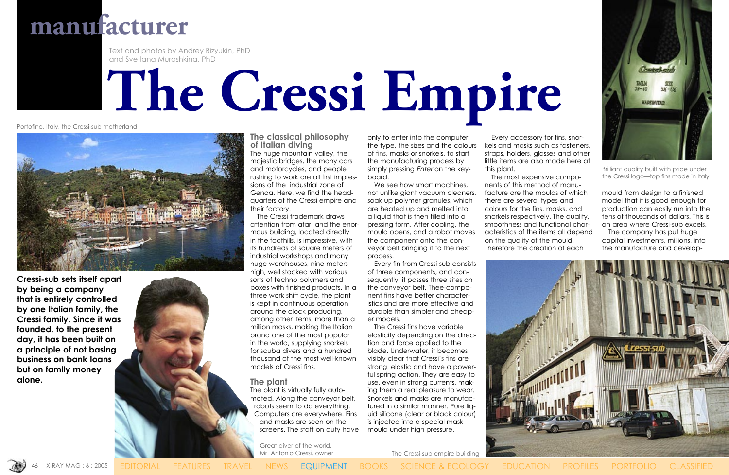**The classical philosophy of Italian diving** The huge mountain valley, the majestic bridges, the many cars and motorcycles, and people rushing to work are all first impressions of the industrial zone of Genoa. Here, we find the headquarters of the Cressi empire and their factory.

 The Cressi trademark draws attention from afar, and the enormous building, located directly in the foothills, is impressive, with its hundreds of square meters of industrial workshops and many huge warehouses, nine meters high, well stocked with various sorts of techno polymers and boxes with finished products. In a three work shift cycle, the plant is kept in continuous operation around the clock producing, among other items, more than a million masks, making the Italian brand one of the most popular in the world, supplying snorkels for scuba divers and a hundred thousand of the most well-known models of Cressi fins.

### **The plant**

The plant is virtually fully automated. Along the conveyor belt, robots seem to do everything. Computers are everywhere. Fins and masks are seen on the screens. The staff on duty have only to enter into the computer the type, the sizes and the colours of fins, masks or snorkels, to start the manufacturing process by simply pressing Enter on the keyboard.

 We see how smart machines, not unlike giant vacuum cleaners, soak up polymer granules, which are heated up and melted into a liquid that is then filled into a pressing form. After cooling, the mould opens, and a robot moves the component onto the conveyor belt bringing it to the next process.

 Every fin from Cressi-sub consists of three components, and consequently, it passes three sites on the conveyor belt. Thee-component fins have better characteristics and are more effective and durable than simpler and cheaper models.

 The Cressi fins have variable elasticity depending on the direction and force applied to the blade. Underwater, it becomes visibly clear that Cressi's fins are strong, elastic and have a powerful spring action. They are easy to use, even in strong currents, making them a real pleasure to wear. Snorkels and masks are manufactured in a similar manner. Pure liquid silicone (clear or black colour) is injected into a special mask mould under high pressure.

 Every accessory for fins, snorkels and masks such as fasteners, straps, holders, glasses and other little items are also made here at this plant.

 The most expensive components of this method of manufacture are the moulds of which there are several types and colours for the fins, masks, and snorkels respectively. The quality, smoothness and functional characteristics of the items all depend on the quality of the mould. Therefore the creation of each



mould from design to a finished model that it is good enough for production can easily run into the tens of thousands of dollars. This is an area where Cressi-sub excels.

 The company has put huge capital investments, millions, into the manufacture and develop-

**manufacturer**

# **The Cressi Empire**

Text and photos by Andrey Bizyukin, PhD and Svetlana Murashkina, PhD

The Cressi-sub empire building



Portofino, Italy, the Cressi-sub motherland





Brilliant quality built with pride under the Cressi logo—top fins made in Italy

**Cressi-sub sets itself apart by being a company that is entirely controlled by one Italian family, the Cressi family. Since it was founded, to the present day, it has been built on a principle of not basing business on bank loans but on family money alone.**



Great diver of the world, Mr. Antonio Cressi, owner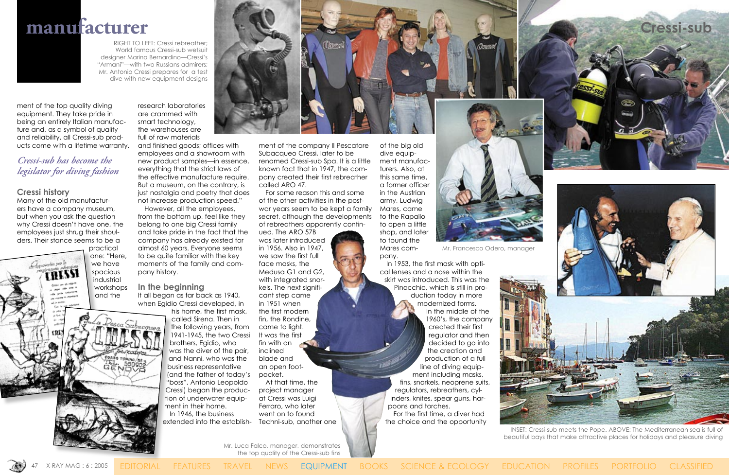



ment of the top quality diving equipment. They take pride in being an entirely Italian manufacture and, as a symbol of quality and reliability, all Cressi-sub products come with a lifetime warranty.

### *Cressi-sub has become the legislator for diving fashion*

### **Cressi history**

Apparechio per la

Many of the old manufacturers have a company museum, but when you ask the question why Cressi doesn't have one, the employees just shrug their shoulders. Their stance seems to be a

practical one: "Here, we have **CRESSI** spacious industrial workshops and the

It all began as far back as 1940, when Egidio Cressi developed, in

research laboratories are crammed with smart technology, the warehouses are full of raw materials

and finished goods; offices with employees and a showroom with new product samples—in essence, everything that the strict laws of the effective manufacture require. But a museum, on the contrary, is just nostalgia and poetry that does not increase production speed."

 However, all the employees, from the bottom up, feel like they belong to one big Cressi family and take pride in the fact that the company has already existed for almost 60 years. Everyone seems to be quite familiar with the key moments of the family and company history.

### **In the beginning**

his home, the first mask, called Sirena. Then in the following years, from 1941-1945, the two Cressi brothers, Egidio, who was the diver of the pair, and Nanni, who was the business representative (and the father of today's "boss", Antonio Leopoldo Cressi) began the production of underwater equipment in their home. In 1946, the business extended into the establishrenamed Cressi-sub Spa. It is a little known fact that in 1947, the company created their first rebreather called ARO 47. For some reason this and some

of the other activities in the postwar years seem to be kept a family secret, although the developments of rebreathers apparently contin-

ment of the company Il Pescatore Subacqueo Cressi, later to be of the big old dive equip-

ued. The ARO 57B was later introduced in 1956. Also in 1947, we saw the first full face masks, the Medusa G1 and G2, with integrated snorkels. The next significant step came in 1951 when the first modern fin, the Rondine, came to light. It was the first fin with an inclined blade and an open footpocket. At that time, the

project manager at Cressi was Luigi Ferraro, who later went on to found Techni-sub, another one

ment manufacturers. Also, at this same time, a former officer in the Austrian army, Ludwig Mares, came to the Rapallo to open a little shop, and later to found the Mares com-

pany. In 1953, the first mask with optical lenses and a nose within the skirt was introduced. This was the

Pinocchio, which is still in production today in more modernized forms. In the middle of the 1960's, the company created their first regulator and then decided to go into the creation and production of a full line of diving equipment including masks, fins, snorkels, neoprene suits, regulators, rebreathers, cylinders, knifes, spear guns, harpoons and torches. For the first time, a diver had

the choice and the opportunity

INSET: Cressi-sub meets the Pope. ABOVE: The Mediterranean sea is full of beautiful bays that make attractive places for holidays and pleasure diving





RIGHT TO LEFT: Cressi rebreather; World famous Cressi-sub wetsuit designer Marino Bernardino—Cressi's "Armani"—with two Russians admirers; Mr. Antonio Cressi prepares for a test dive with new equipment designs

Mr. Francesco Odero, manager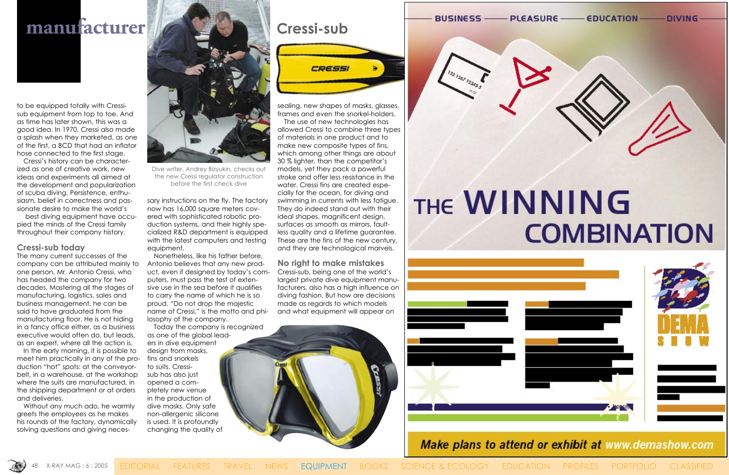### **manufacturer Cressi-sub**

to be equipped totally with Cressisub equipment from top to toe. And as time has later shown, this was a good idea. In 1970, Cressi also made a splash when they marketed, as one of the first, a BCD that had an inflator hose connected to the first stage.

 Cressi's history can be characterized as one of creative work, new ideas and experiments all aimed at the development and popularization of scuba diving. Persistence, enthusiasm, belief in correctness and passionate desire to make the world's

 best diving equipment have occupied the minds of the Cressi family throughout their company history.

### **Cressi-sub today**

The many current successes of the company can be attributed mainly to one person, Mr. Antonio Cressi, who has headed the company for two decades. Mastering all the stages of manufacturing, logistics, sales and business management, he can be said to have graduated from the manufacturing floor. He is not hiding in a fancy office either, as a business executive would often do, but leads, as an expert, where all the action is.

 In the early morning, it is possible to meet him practically in any of the production "hot" spots: at the conveyorbelt, in a warehouse, at the workshop where the suits are manufactured, in the shipping department or at orders and deliveries.

 Without any much ado, he warmly greets the employees as he makes his rounds of the factory, dynamically solving questions and giving neces-

sary instructions on the fly. The factory now has 16,000 square meters covered with sophisticated robotic production systems, and their highly specialized R&D department is equipped with the latest computers and testing equipment.

 Nonetheless, like his father before, Antonio believes that any new product, even if designed by today's computers, must pass the test of extensive use in the sea before it qualifies to carry the name of which he is so proud. "Do not drop the majestic name of Cressi," is the motto and philosophy of the company.

 Today the company is recognized as one of the global leaders in dive equipment design from masks, fins and snorkels to suits. Cressisub has also just opened a completely new venue in the production of dive masks. Only safe non-allergenic silicone is used. It is profoundly changing the quality of



sealing, new shapes of masks, glasses, frames and even the snorkel-holders.

 The use of new technologies has allowed Cressi to combine three types of materials in one product and to make new composite types of fins, which among other things are about 30 % lighter, than the competitor's models, yet they pack a powerful stroke and offer less resistance in the water. Cressi fins are created especially for the ocean, for diving and swimming in currents with less fatigue. They do indeed stand out with their ideal shapes, magnificent design, surfaces as smooth as mirrors, faultless quality and a lifetime guarantee. These are the fins of the new century, and they are technological marvels.

### **No right to make mistakes**

Cressi-sub, being one of the world's largest private dive equipment manufacturers, also has a high influence on diving fashion. But how are decisions made as regards to which models and what equipment will appear on



**BUSINESS** 

## **THE WINNING COMBINATION**



Make plans to attend or exhibit at www.demashow.com

- EDUCATION - DIVING -**PLEASURE-**

X-RAY MAG : 6 : 2005 EDITORIAL FEATURES TRAVEL NEWS EQUIPMENT BOOKS SCIENCE & ECOLOGY EDUCATION PROFILES PORTFOLIO CLASSIFIED



Dive writer, Andrey Bizyukin, checks out the new Cressi regulator construction before the first check dive